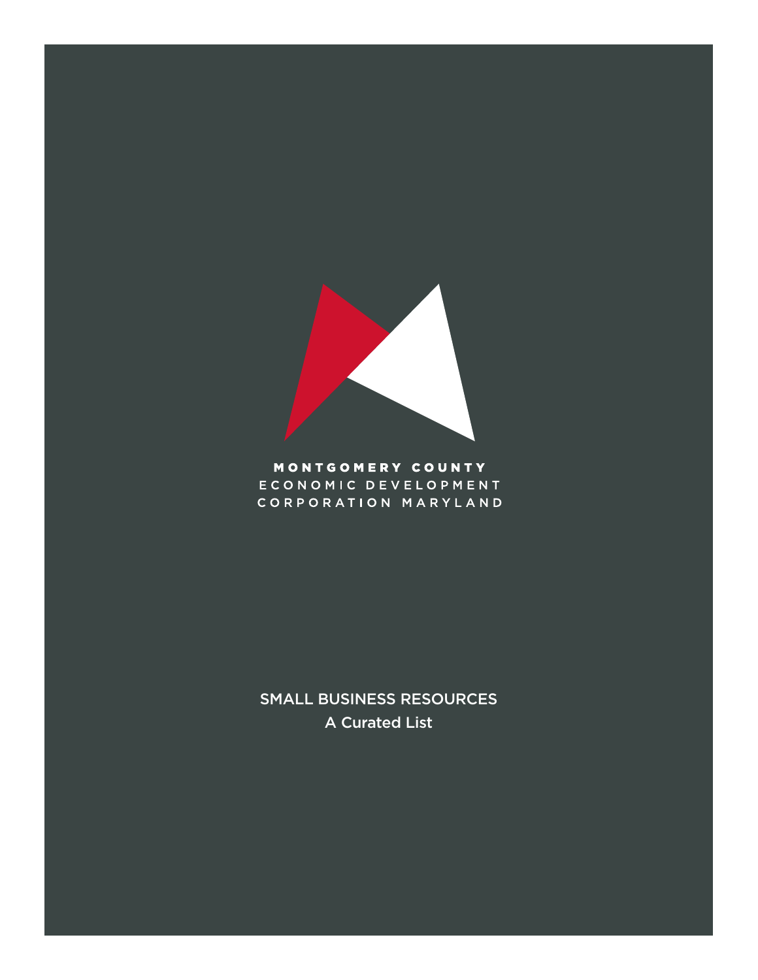

# MONTGOMERY COUNTY ECONOMIC DEVELOPMENT CORPORATION MARYLAND

SMALL BUSINESS RESOURCES A Curated List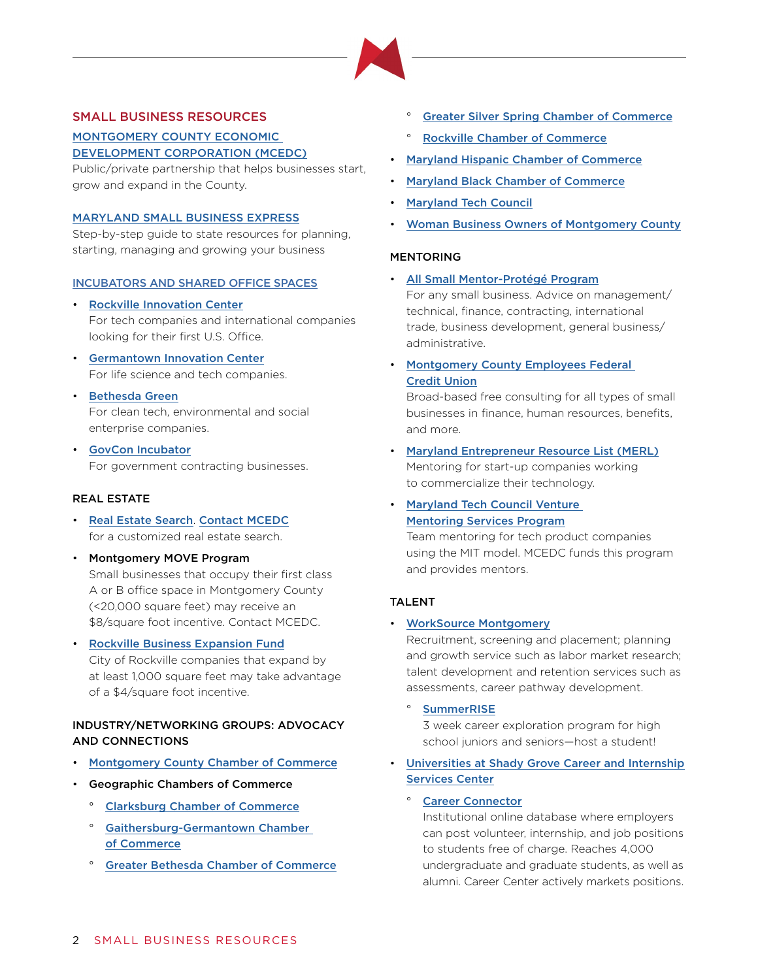

## SMALL BUSINESS RESOURCES

[MONTGOMERY COUNTY ECONOMIC](https://thinkmoco.com/choose/support-resources/)  [DEVELOPMENT CORPORATION \(MCEDC\)](https://thinkmoco.com/choose/support-resources/)

Public/private partnership that helps businesses start, grow and expand in the County.

#### [MARYLAND SMALL BUSINESS EXPRESS](https://businessexpress.maryland.gov)

Step-by-step guide to state resources for planning, starting, managing and growing your business

#### [INCUBATORS AND SHARED OFFICE SPACES](https://thinkmoco.com/properties/)

- [Rockville Innovation Center](http://www.mcinnovationnetwork.com/facilities-tenants/rockville-innovation-center/) For tech companies and international companies looking for their first U.S. Office.
- [Germantown Innovation Center](http://www.mcinnovationnetwork.com/facilities-tenants/germantown-innovation-center/) For life science and tech companies.
- [Bethesda Green](https://bethesdagreen.org/incubator-spotlight-neighborhood-sun/) For clean tech, environmental and social enterprise companies.
- [GovCon Incubator](https://ostglobalsolutions.com/govcon-incubator/) For government contracting businesses.

#### REAL ESTATE

- [Real Estate Search](https://thinkmoco.com/properties/). [Contact MCEDC](mailto:connect%40thinkmoco.com?subject=) for a customized real estate search.
- Montgomery MOVE Program Small businesses that occupy their first class A or B office space in Montgomery County (<20,000 square feet) may receive an \$8/square foot incentive. Contact MCEDC.
- [Rockville Business Expansion Fund](http://rockvilleredi.org/choose-rockville/business-funding-and-incentives/business-grants-loans/business-expansion-fund-guidelines/) City of Rockville companies that expand by at least 1,000 square feet may take advantage of a \$4/square foot incentive.

## INDUSTRY/NETWORKING GROUPS: ADVOCACY AND CONNECTIONS

- [Montgomery County Chamber of Commerce](http://www.mcccmd.com/)
- Geographic Chambers of Commerce
	- ° [Clarksburg Chamber of Commerce](https://clarksburgchamberofcommerce.org/#)
	- ° [Gaithersburg-Germantown Chamber](http://www.ggchamber.org/)  [of Commerce](http://www.ggchamber.org/)
	- ° [Greater Bethesda Chamber of Commerce](http://www.greaterbethesdachamber.org)
- [Greater Silver Spring Chamber of Commerce](http://www.gsscc.org)
- ° [Rockville Chamber of Commerce](http://www.rockvillechamber.org)
- [Maryland Hispanic Chamber of Commerce](http://www.maryland-hispanic-chamber-of-commerce.org/)
- [Maryland Black Chamber of Commerce](http://www.marylandbcc.org/)
- [Maryland Tech Council](http://www.mdtechcouncil.com)
- [Woman Business Owners of Montgomery County](https://www.wbo-mc.com)

#### MENTORING

• [All Small Mentor-Protégé Program](https://www.sba.gov/contracting/government-contracting-programs/all-small-mentor-protege-program/about-all-small-mentor-protege-program)

For any small business. Advice on management/ technical, finance, contracting, international trade, business development, general business/ administrative.

• [Montgomery County Employees Federal](https://www.mcefcuhb.org/home/home)  [Credit Union](https://www.mcefcuhb.org/home/home)

Broad-based free consulting for all types of small businesses in finance, human resources, benefits, and more.

- [Maryland Entrepreneur Resource List \(MERL\)](http://tedco.md/program/maryland-entrepreneurs-resource-list-merl/) Mentoring for start-up companies working to commercialize their technology.
- [Maryland Tech Council Venture](http://www.mdtechcouncil.com/careers/mentor-about.php)  [Mentoring Service](http://www.mdtechcouncil.com/careers/mentor-about.php)s Program

Team mentoring for tech product companies using the MIT model. MCEDC funds this program and provides mentors.

#### TALENT

#### • [WorkSource Montgomery](https://worksourcemontgomery.com/employer-services/)

Recruitment, screening and placement; planning and growth service such as labor market research; talent development and retention services such as assessments, career pathway development.

° [SummerRISE](http://www.summer-rise.com)

3 week career exploration program for high school juniors and seniors—host a student!

• [Universities at Shady Grove Career and Internship](https://www.shadygrove.umd.edu/student-services/career-and-internship-center)  [Services Center](https://www.shadygrove.umd.edu/student-services/career-and-internship-center)

## ° [Career Connector](https://usg-csm.symplicity.com/employers/)

Institutional online database where employers can post volunteer, internship, and job positions to students free of charge. Reaches 4,000 undergraduate and graduate students, as well as alumni. Career Center actively markets positions.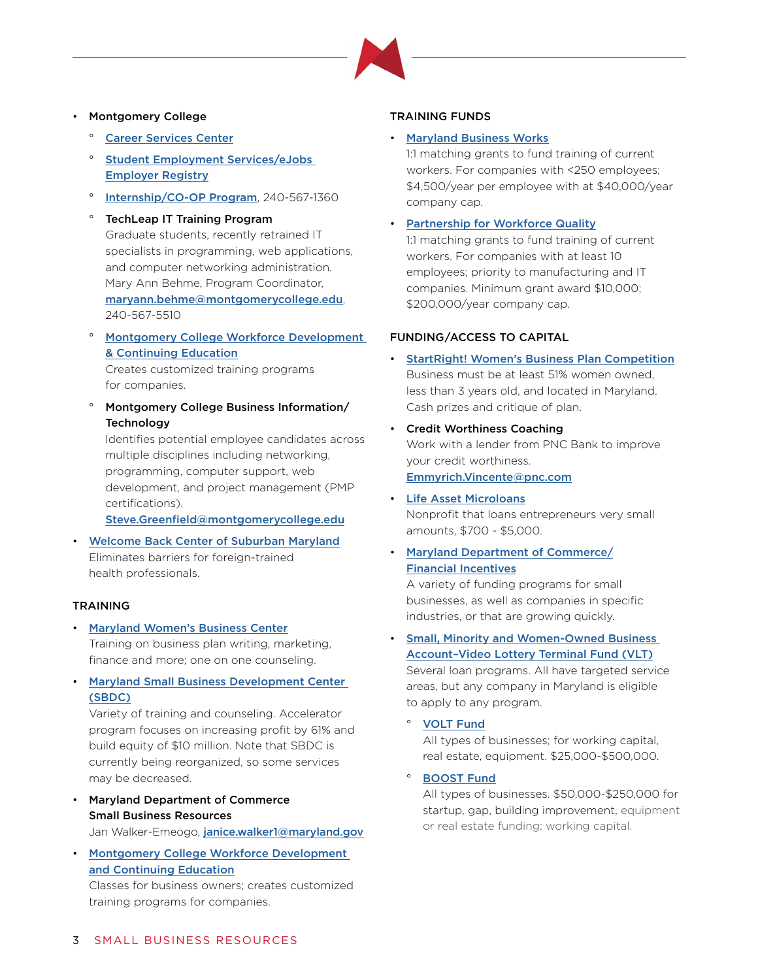## • Montgomery College

- **[Career Services Center](http://cms.montgomerycollege.edu/edu/tertiary1.aspx?urlid=50)**
- Student Employment Services/eJobs [Employer Registry](http://cms.montgomerycollege.edu/edu/tertiary1.aspx?urlid=30)
- [Internship/CO-OP Program](https://cms.montgomerycollege.edu/coop/), 240-567-1360

## TechLeap IT Training Program Graduate students, recently retrained IT specialists in programming, web applications, and computer networking administration. Mary Ann Behme, Program Coordinator, [maryann.behme@montgomerycollege.edu](mailto:maryann.behme%40montgomerycollege.edu?subject=), 240-567-5510

° [Montgomery College Workforce Development](http://cms.montgomerycollege.edu/wdce/programs.html)  [& Continuing Education](http://cms.montgomerycollege.edu/wdce/programs.html)

Creates customized training programs for companies.

° Montgomery College Business Information/ **Technology** 

Identifies potential employee candidates across multiple disciplines including networking, programming, computer support, web development, and project management (PMP certifications).

[Steve.Greenfield@montgomerycollege.edu](mailto:Steve.Greenfield%40montgomerycollege.edu?subject=)

• [Welcome Back Center of Suburban Maryland](http://www.lhiinfo.org/en/programs-and-activities/welcome-back-center-of-suburban-maryland/) Eliminates barriers for foreign-trained health professionals.

## TRAINING

- [Maryland Women's Business Center](https://marylandwbc.org/) Training on business plan writing, marketing, finance and more; one on one counseling.
- [Maryland Small Business Development Center](http://mdsbdc.umd.edu/)  [\(SBDC\)](http://mdsbdc.umd.edu/)

Variety of training and counseling. Accelerator program focuses on increasing profit by 61% and build equity of \$10 million. Note that SBDC is currently being reorganized, so some services may be decreased.

• Maryland Department of Commerce Small Business Resources

Jan Walker-Emeogo, [janice.walker1@maryland.gov](mailto:janice.walker1%40maryland.gov?subject=)

• [Montgomery College Workforce Development](http://cms.montgomerycollege.edu/wdce/programs.html)  [and Continuing Education](http://cms.montgomerycollege.edu/wdce/programs.html)

Classes for business owners; creates customized training programs for companies.

## TRAINING FUNDS

## • [Maryland Business Works](http://dllr.maryland.gov/employment/mbw.shtml)

1:1 matching grants to fund training of current workers. For companies with <250 employees; \$4,500/year per employee with at \$40,000/year company cap.

• [Partnership for Workforce Quality](http://commerce.maryland.gov/grow/partnership-for-workforce-quality-pwq)

1:1 matching grants to fund training of current workers. For companies with at least 10 employees; priority to manufacturing and IT companies. Minimum grant award \$10,000; \$200,000/year company cap.

## FUNDING/ACCESS TO CAPITAL

- [StartRight! Women's Business Plan Competition](https://marylandwbc.org/our-programs/startright-business-plan-competition/) Business must be at least 51% women owned, less than 3 years old, and located in Maryland. Cash prizes and critique of plan.
- Credit Worthiness Coaching Work with a lender from PNC Bank to improve your credit worthiness. [Emmyrich.Vincente@pnc.com](mailto:Emmyrich.Vincente%40pnc.com?subject=)
- [Life Asset Microloans](http://www.lifeasset.org) Nonprofit that loans entrepreneurs very small amounts, \$700 - \$5,000.
- [Maryland Department of Commerce/](https://commerce.knack.com/maryland-funding-incentives/#home/?view_17_page=1) Financial Incentives

A variety of funding programs for small businesses, as well as companies in specific industries, or that are growing quickly.

• [Small, Minority and Women-Owned Business](http://commerce.maryland.gov/fund/programs-for-businesses/vlt)  [Account–Video Lottery Terminal Fund \(VLT\)](http://commerce.maryland.gov/fund/programs-for-businesses/vlt)

Several loan programs. All have targeted service areas, but any company in Maryland is eligible to apply to any program.

° [VOLT](http://www.aaedc.org/business/financing-and-tax-credits/volt-fund/) Fund

All types of businesses; for working capital, real estate, equipment. \$25,000-\$500,000.

## **[BOOST](https://www.baltimorecountymd.gov/Agencies/economicdev/business/money-for-business/boost.html) Fund**

All types of businesses. \$50,000-\$250,000 for startup, gap, building improvement, equipment or real estate funding; working capital.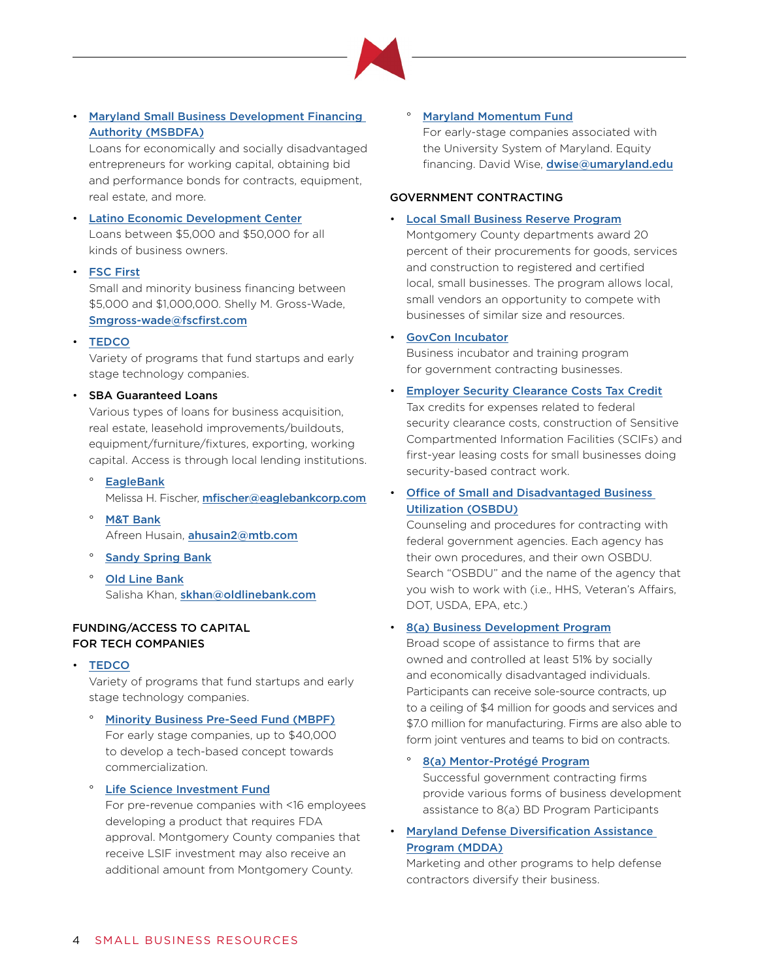• [Maryland Small Business Development Financing](http://commerce.maryland.gov/fund/programs-for-businesses/msbdfa)  [Authority \(MSBDFA\)](http://commerce.maryland.gov/fund/programs-for-businesses/msbdfa)

Loans for economically and socially disadvantaged entrepreneurs for working capital, obtaining bid and performance bonds for contracts, equipment, real estate, and more.

• [Latino Economic Development C](http://www.ledcmetro.org/)enter Loans between \$5,000 and \$50,000 for all kinds of business owners.

## • [FSC First](https://fscfirst.com/)

Small and minority business financing between \$5,000 and \$1,000,000. Shelly M. Gross-Wade, [Smgross-wade@fscfirst.com](mailto:Smgross-wade%40fscfirst.com?subject=)

• [TEDCO](http://tedco.md/programs/)

Variety of programs that fund startups and early stage technology companies.

#### • SBA Guaranteed Loans

Various types of loans for business acquisition, real estate, leasehold improvements/buildouts, equipment/furniture/fixtures, exporting, working capital. Access is through local lending institutions.

**[EagleBank](https://www.eaglebankcorp.com/commercial-and-business-banking/small-business-lending/)** 

Melissa H. Fischer, mfischer@eaglebankcorp.com

- [M&T Bank](https://www.mtb.com/business/business-banking/business-financing/business-loans/sba-lending) Afreen Husain, [ahusain2@mtb.com](mailto:ahusain2%40mtb.com?subject=)
- ° [Sandy Spring Bank](https://www.sandyspringbank.com/business/borrowing/loans-lending/sba-loans)
- [Old Line Bank](http://educationcenter.oldlinebank.com/page.php?b=24515130-0&c=1493) Salisha Khan, [skhan@oldlinebank.com](mailto:skhan%40oldlinebank.com?subject=)

## FUNDING/ACCESS TO CAPITAL FOR TECH COMPANIES

• [TEDCO](http://tedco.md/programs/)

Variety of programs that fund startups and early stage technology companies.

° [Minority Business Pre-Seed Fund \(MBPF\)](http://tedco.md/program/minority-business-pre-seed-fund-mbpf/) For early stage companies, up to \$40,000 to develop a tech-based concept towards commercialization.

° [Life Science Investment Fund](http://tedco.md/program/the-life-science-investment-fund-lsif/) For pre-revenue companies with <16 employees developing a product that requires FDA approval. Montgomery County companies that receive LSIF investment may also receive an additional amount from Montgomery County.

**[Maryland Momentum Fund](http://www.otc.umd.edu/node/87)** 

For early-stage companies associated with the University System of Maryland. Equity financing. David Wise, [dwise@umaryland.edu](mailto:dwise%40umaryland.edu?subject=)

## GOVERNMENT CONTRACTING

## • [Local Small Business Reserve Program](http://www.montgomerycountymd.gov/pro/dbrc/lsbrp.html)

Montgomery County departments award 20 percent of their procurements for goods, services and construction to registered and certified local, small businesses. The program allows local, small vendors an opportunity to compete with businesses of similar size and resources.

#### • [GovCon Incubator](https://ostglobalsolutions.com/govcon-incubator/)

Business incubator and training program for government contracting businesses.

• [Employer Security Clearance Costs Tax Credit](http://commerce.maryland.gov/fund/programs-for-businesses/employer-security-clearance-costs-tax-credit) Tax credits for expenses related to federal security clearance costs, construction of Sensitive Compartmented Information Facilities (SCIFs) and

first-year leasing costs for small businesses doing security-based contract work.

## • [Office of Small and Disadvantaged Business](https://www.usa.gov/expand-business#item-213433)  [Utilization \(OSBDU\)](https://www.usa.gov/expand-business#item-213433)

Counseling and procedures for contracting with federal government agencies. Each agency has their own procedures, and their own OSBDU. Search "OSBDU" and the name of the agency that you wish to work with (i.e., HHS, Veteran's Affairs, DOT, USDA, EPA, etc.)

## • [8\(a\) Business Development Program](https://www.sba.gov/contracting/government-contracting-programs/8a-business-development-program/about-8a-business-development-program)

Broad scope of assistance to firms that are owned and controlled at least 51% by socially and economically disadvantaged individuals. Participants can receive sole-source contracts, up to a ceiling of \$4 million for goods and services and \$7.0 million for manufacturing. Firms are also able to form joint ventures and teams to bid on contracts.

### ° [8\(a\) Mentor-Protégé Program](https://www.sba.gov/contracting/government-contracting-programs/8a-business-development-program/mentor-protege-program)

Successful government contracting firms provide various forms of business development assistance to 8(a) BD Program Participants

• [Maryland Defense Diversification Assistance](http://commerce.maryland.gov/fund/programs-for-businesses/maryland-defense-diversification-assistance-program-(mdda))  [Program \(MDDA\)](http://commerce.maryland.gov/fund/programs-for-businesses/maryland-defense-diversification-assistance-program-(mdda))

Marketing and other programs to help defense contractors diversify their business.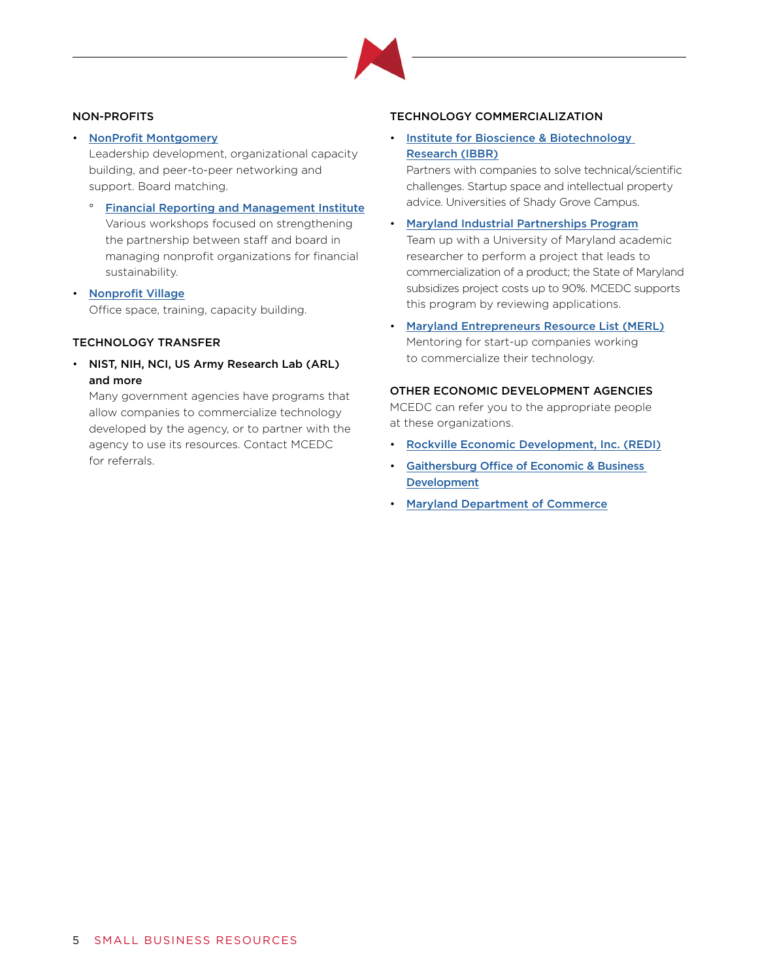

## NON-PROFITS

• [NonProfit Montgomery](https://www.nonprofitmoco.org)

Leadership development, organizational capacity building, and peer-to-peer networking and support. Board matching.

- ° [Financial Reporting and Management Institute](https://www.nonprofitmoco.org/programs/project-firm/) Various workshops focused on strengthening the partnership between staff and board in managing nonprofit organizations for financial sustainability.
- [Nonprofit Village](http://www.thenonprofitvillage.org) Office space, training, capacity building.

## TECHNOLOGY TRANSFER

• NIST, NIH, NCI, US Army Research Lab (ARL) and more

Many government agencies have programs that allow companies to commercialize technology developed by the agency, or to partner with the agency to use its resources. Contact MCEDC for referrals.

## TECHNOLOGY COMMERCIALIZATION

## • [Institute for Bioscience & Biotechnology](https://www.ibbr.umd.edu/commercialization)  [Research \(IBBR\)](https://www.ibbr.umd.edu/commercialization)

Partners with companies to solve technical/scientific challenges. Startup space and intellectual property advice. Universities of Shady Grove Campus.

- [Maryland Industrial Partnerships](http://www.mips.umd.edu/) Program Team up with a University of Maryland academic researcher to perform a project that leads to commercialization of a product; the State of Maryland subsidizes project costs up to 90%. MCEDC supports this program by reviewing applications.
- [Maryland Entrepreneurs Resource List \(MERL\)](http://tedco.md/program/maryland-entrepreneurs-resource-list-merl/) Mentoring for start-up companies working to commercialize their technology.

## OTHER ECONOMIC DEVELOPMENT AGENCIES

MCEDC can refer you to the appropriate people at these organizations.

- [Rockville Economic Development, Inc. \(REDI\)](http://www.RockvilleREDI.org)
- [Gaithersburg Office of Economic & Business](http://www.gaithersburgmd.gov/services/economic-and-business-development)  **[Development](http://www.gaithersburgmd.gov/services/economic-and-business-development)**
- [Maryland Department of Commerce](http://commerce.maryland.gov/)